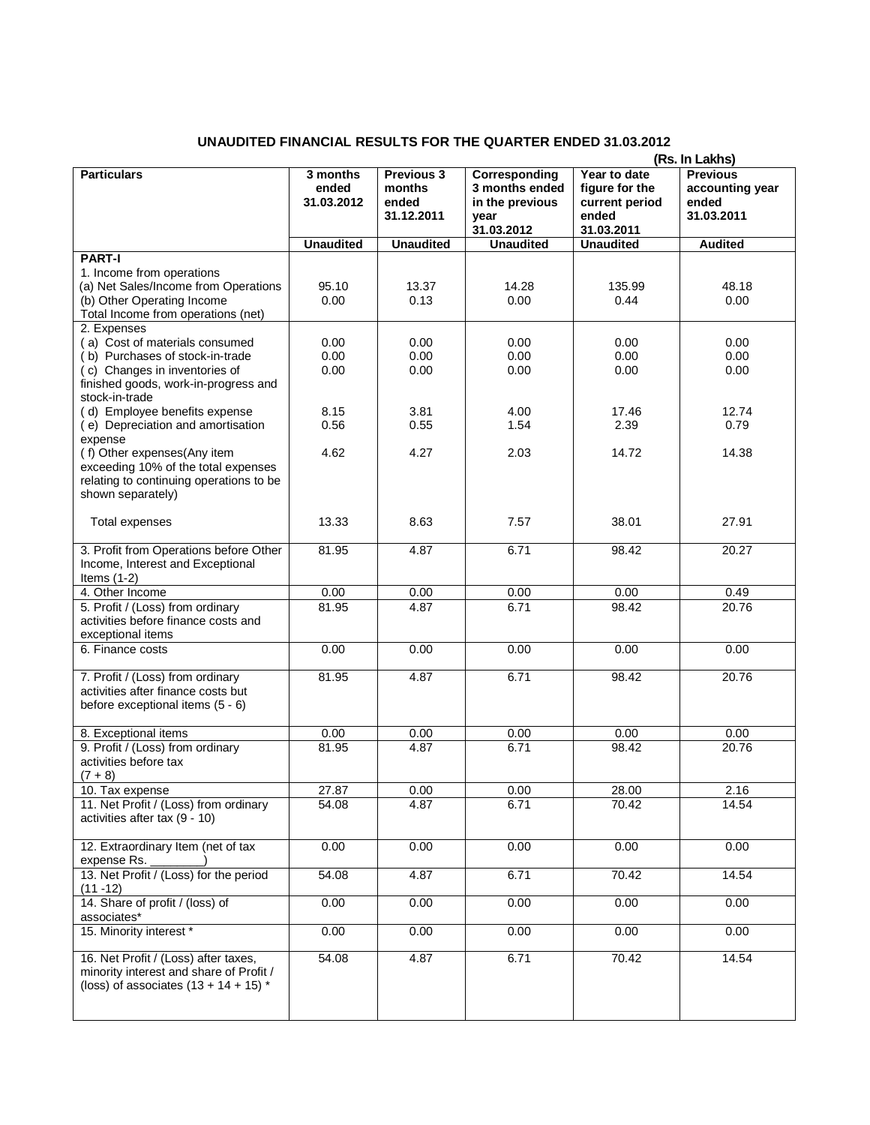## **UNAUDITED FINANCIAL RESULTS FOR THE QUARTER ENDED 31.03.2012**

|                                                                                                                                                                             |                                 |                                                    | (Rs. In Lakhs)                                                           |                                                                         |                                                           |
|-----------------------------------------------------------------------------------------------------------------------------------------------------------------------------|---------------------------------|----------------------------------------------------|--------------------------------------------------------------------------|-------------------------------------------------------------------------|-----------------------------------------------------------|
| <b>Particulars</b>                                                                                                                                                          | 3 months<br>ended<br>31.03.2012 | <b>Previous 3</b><br>months<br>ended<br>31.12.2011 | Corresponding<br>3 months ended<br>in the previous<br>year<br>31.03.2012 | Year to date<br>figure for the<br>current period<br>ended<br>31.03.2011 | <b>Previous</b><br>accounting year<br>ended<br>31.03.2011 |
|                                                                                                                                                                             | <b>Unaudited</b>                | <b>Unaudited</b>                                   | <b>Unaudited</b>                                                         | <b>Unaudited</b>                                                        | <b>Audited</b>                                            |
| <b>PART-I</b><br>1. Income from operations<br>(a) Net Sales/Income from Operations<br>(b) Other Operating Income<br>Total Income from operations (net)                      | 95.10<br>0.00                   | 13.37<br>0.13                                      | 14.28<br>0.00                                                            | 135.99<br>0.44                                                          | 48.18<br>0.00                                             |
| 2. Expenses<br>(a) Cost of materials consumed<br>(b) Purchases of stock-in-trade<br>(c) Changes in inventories of<br>finished goods, work-in-progress and<br>stock-in-trade | 0.00<br>0.00<br>0.00            | 0.00<br>0.00<br>0.00                               | 0.00<br>0.00<br>0.00                                                     | 0.00<br>0.00<br>0.00                                                    | 0.00<br>0.00<br>0.00                                      |
| (d) Employee benefits expense<br>(e) Depreciation and amortisation<br>expense                                                                                               | 8.15<br>0.56                    | 3.81<br>0.55                                       | 4.00<br>1.54                                                             | 17.46<br>2.39                                                           | 12.74<br>0.79                                             |
| (f) Other expenses(Any item<br>exceeding 10% of the total expenses<br>relating to continuing operations to be<br>shown separately)                                          | 4.62                            | 4.27                                               | 2.03                                                                     | 14.72                                                                   | 14.38                                                     |
| <b>Total expenses</b>                                                                                                                                                       | 13.33                           | 8.63                                               | 7.57                                                                     | 38.01                                                                   | 27.91                                                     |
| 3. Profit from Operations before Other<br>Income, Interest and Exceptional<br>Items $(1-2)$                                                                                 | 81.95                           | 4.87                                               | 6.71                                                                     | 98.42                                                                   | 20.27                                                     |
| 4. Other Income                                                                                                                                                             | 0.00                            | 0.00                                               | 0.00                                                                     | 0.00                                                                    | 0.49                                                      |
| 5. Profit / (Loss) from ordinary<br>activities before finance costs and<br>exceptional items                                                                                | 81.95                           | 4.87                                               | 6.71                                                                     | 98.42                                                                   | 20.76                                                     |
| 6. Finance costs                                                                                                                                                            | 0.00                            | 0.00                                               | 0.00                                                                     | 0.00                                                                    | 0.00                                                      |
| 7. Profit / (Loss) from ordinary<br>activities after finance costs but<br>before exceptional items (5 - 6)                                                                  | 81.95                           | 4.87                                               | 6.71                                                                     | 98.42                                                                   | 20.76                                                     |
| 8. Exceptional items                                                                                                                                                        | 0.00                            | 0.00                                               | 0.00                                                                     | 0.00                                                                    | 0.00                                                      |
| 9. Profit / (Loss) from ordinary<br>activities before tax<br>$(7 + 8)$                                                                                                      | 81.95                           | 4.87                                               | 6.71                                                                     | 98.42                                                                   | 20.76                                                     |
| 10. Tax expense                                                                                                                                                             | 27.87                           | 0.00                                               | 0.00                                                                     | 28.00                                                                   | 2.16                                                      |
| 11. Net Profit / (Loss) from ordinary<br>activities after tax (9 - 10)                                                                                                      | 54.08                           | 4.87                                               | 6.71                                                                     | 70.42                                                                   | 14.54                                                     |
| 12. Extraordinary Item (net of tax<br>expense Rs.                                                                                                                           | 0.00                            | 0.00                                               | 0.00                                                                     | 0.00                                                                    | 0.00                                                      |
| 13. Net Profit / (Loss) for the period<br>$(11 - 12)$                                                                                                                       | 54.08                           | 4.87                                               | 6.71                                                                     | 70.42                                                                   | 14.54                                                     |
| 14. Share of profit / (loss) of<br>associates*                                                                                                                              | 0.00                            | 0.00                                               | 0.00                                                                     | 0.00                                                                    | 0.00                                                      |
| 15. Minority interest *                                                                                                                                                     | 0.00                            | 0.00                                               | 0.00                                                                     | 0.00                                                                    | 0.00                                                      |
| 16. Net Profit / (Loss) after taxes,<br>minority interest and share of Profit /<br>(loss) of associates $(13 + 14 + 15)^*$                                                  | 54.08                           | 4.87                                               | 6.71                                                                     | 70.42                                                                   | 14.54                                                     |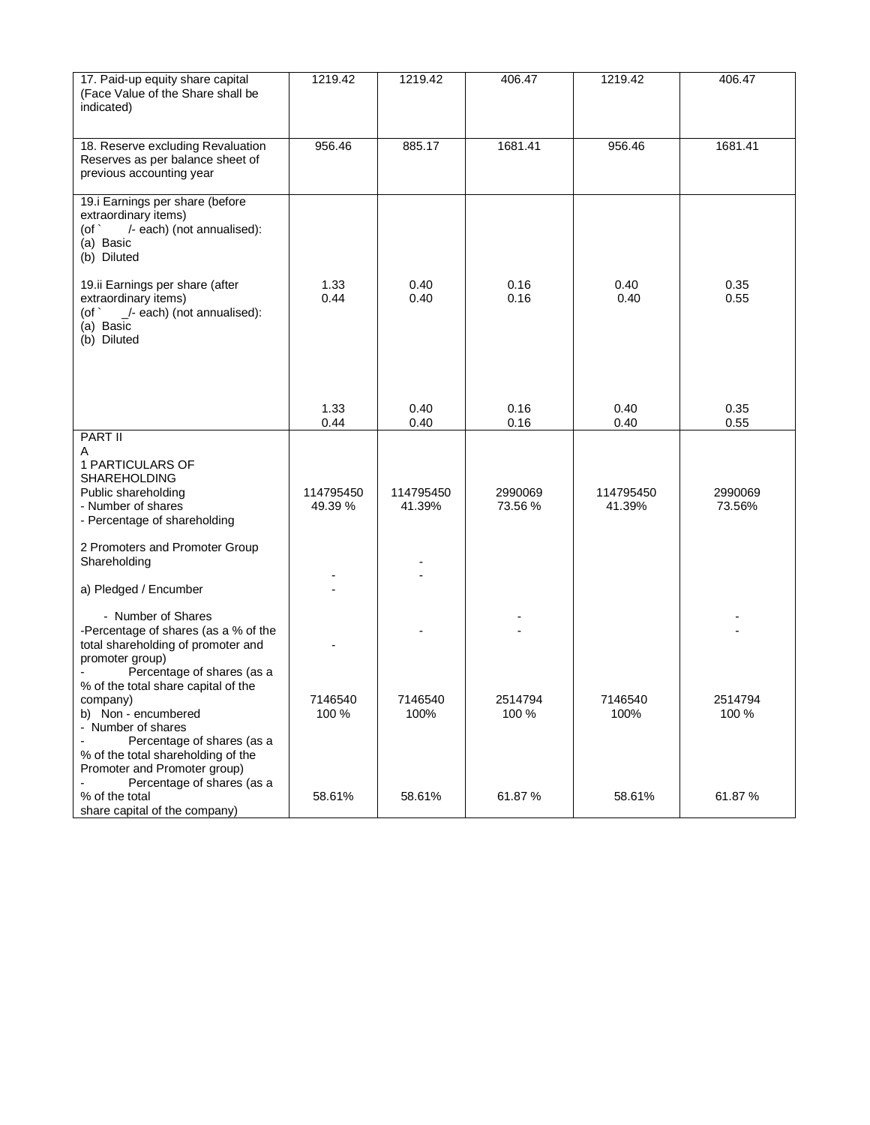| 17. Paid-up equity share capital<br>(Face Value of the Share shall be<br>indicated)                                                                                        | 1219.42              | 1219.42             | 406.47             | 1219.42             | 406.47            |
|----------------------------------------------------------------------------------------------------------------------------------------------------------------------------|----------------------|---------------------|--------------------|---------------------|-------------------|
| 18. Reserve excluding Revaluation<br>Reserves as per balance sheet of<br>previous accounting year                                                                          | 956.46               | 885.17              | 1681.41            | 956.46              | 1681.41           |
| 19.i Earnings per share (before<br>extraordinary items)<br>$($ of $\cdot$<br>/- each) (not annualised):<br>(a) Basic<br>(b) Diluted                                        |                      |                     |                    |                     |                   |
| 19.ii Earnings per share (after<br>extraordinary items)<br>_/- each) (not annualised):<br>$($ of $\cdot$<br>(a) Basic<br>(b) Diluted                                       | 1.33<br>0.44         | 0.40<br>0.40        | 0.16<br>0.16       | 0.40<br>0.40        | 0.35<br>0.55      |
|                                                                                                                                                                            | 1.33<br>0.44         | 0.40<br>0.40        | 0.16<br>0.16       | 0.40<br>0.40        | 0.35<br>0.55      |
| PART II<br>Α<br>1 PARTICULARS OF<br><b>SHAREHOLDING</b><br>Public shareholding<br>- Number of shares<br>- Percentage of shareholding                                       | 114795450<br>49.39 % | 114795450<br>41.39% | 2990069<br>73.56 % | 114795450<br>41.39% | 2990069<br>73.56% |
| 2 Promoters and Promoter Group<br>Shareholding                                                                                                                             |                      |                     |                    |                     |                   |
| a) Pledged / Encumber<br>- Number of Shares<br>-Percentage of shares (as a % of the<br>total shareholding of promoter and<br>promoter group)<br>Percentage of shares (as a |                      |                     |                    |                     |                   |
| % of the total share capital of the<br>company)<br>b) Non - encumbered<br>- Number of shares<br>Percentage of shares (as a                                                 | 7146540<br>100 %     | 7146540<br>100%     | 2514794<br>100 %   | 7146540<br>100%     | 2514794<br>100 %  |
| % of the total shareholding of the<br>Promoter and Promoter group)<br>Percentage of shares (as a<br>% of the total<br>share capital of the company)                        | 58.61%               | 58.61%              | 61.87 %            | 58.61%              | 61.87%            |